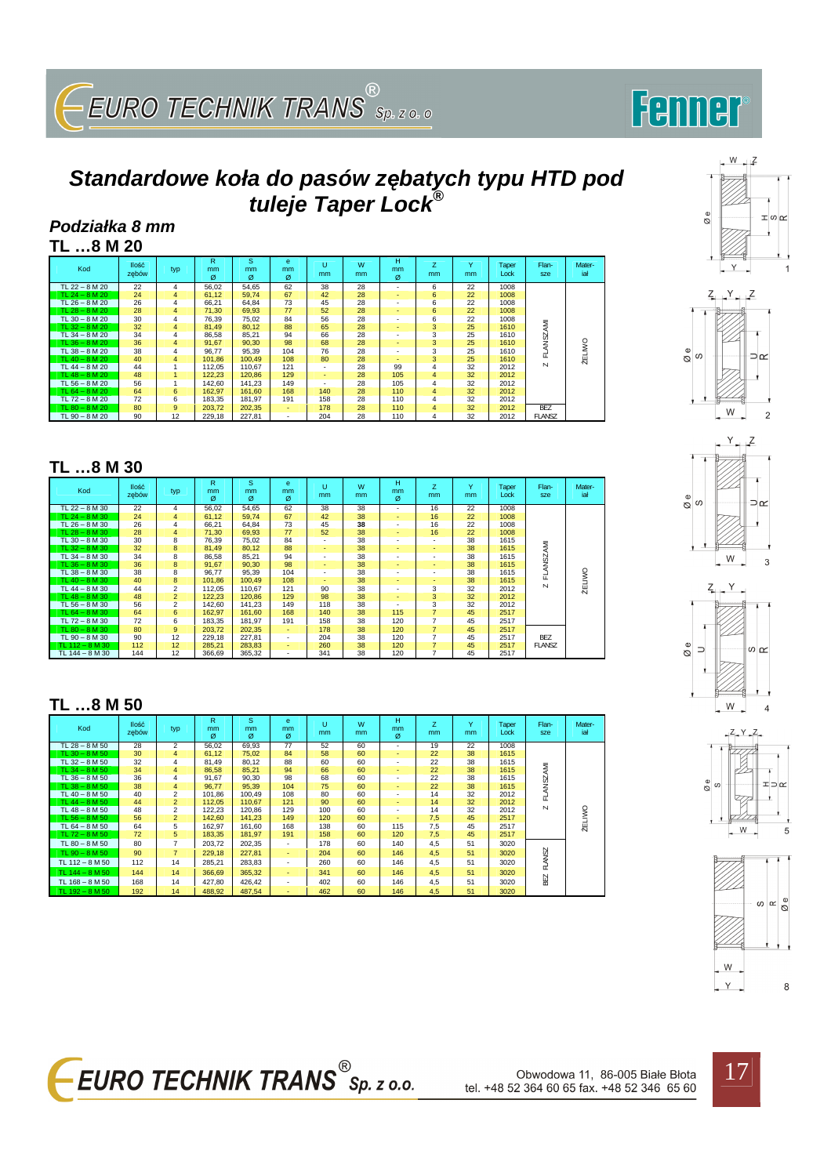# $\overline{S}$ EURO TECHNIK TRANS $\overline{S}_{Sp.$  z o. o

# Femmer

 $\otimes$ e

 $W = \sqrt{2}$ 

 $\pm \omega \sim$ 

### **Standardowe koła do pasów z***ę***batych typu HTD pod tuleje Taper Lock®**

#### **Podziałka 8 mm TL …8 M 20**

| Kod                | <b>Ilość</b><br>zebów | typ            | R<br>mm<br>ø | s<br><sub>mm</sub><br>ø | e<br>mm<br>ø | υ<br>mm | W<br>mm | н<br>mm<br>ø             | z<br>mm | $\checkmark$<br>mm | Taper<br>Lock | Flan-<br>sze  | Mater-<br>iał |
|--------------------|-----------------------|----------------|--------------|-------------------------|--------------|---------|---------|--------------------------|---------|--------------------|---------------|---------------|---------------|
| TL 22 - 8 M 20     | 22                    | 4              | 56.02        | 54,65                   | 62           | 38      | 28      | $\overline{\phantom{a}}$ | 6       | 22                 | 1008          |               |               |
| TL $24 - 8 M 20$   | 24                    | $\overline{4}$ | 61,12        | 59,74                   | 67           | 42      | 28      | $\overline{\phantom{0}}$ | 6       | 22                 | 1008          |               |               |
| TL $26 - 8$ M $20$ | 26                    | 4              | 66,21        | 64,84                   | 73           | 45      | 28      | $\overline{\phantom{a}}$ | 6       | 22                 | 1008          |               |               |
| TL $28 - 8$ M $20$ | 28                    | $\overline{4}$ | 71,30        | 69,93                   | 77           | 52      | 28      | $\overline{\phantom{0}}$ | 6       | 22                 | 1008          |               |               |
| TL $30 - 8$ M 20   | 30                    | 4              | 76,39        | 75.02                   | 84           | 56      | 28      | $\blacksquare$           | 6       | 22                 | 1008          |               |               |
| TL $32 - 8$ M $20$ | 32                    | $\overline{4}$ | 81.49        | 80,12                   | 88           | 65      | 28      | $\sim$                   | 3       | 25                 | 1610          | NSZAMI        |               |
| TL 34 - 8 M 20     | 34                    | 4              | 86,58        | 85.21                   | 94           | 66      | 28      | $\blacksquare$           | 3       | 25                 | 1610          |               |               |
| TL $36 - 8$ M $20$ | 36                    | 4              | 91.67        | 90,30                   | 98           | 68      | 28      | $\overline{\phantom{0}}$ | 3       | 25                 | 1610          |               |               |
| TL $38 - 8$ M 20   | 38                    | 4              | 96,77        | 95,39                   | 104          | 76      | 28      |                          | 3       | 25                 | 1610          | ਟ<br>군        |               |
| TL $40 - 8$ M $20$ | 40                    | 4              | 101.86       | 100.49                  | 108          | 80      | 28      |                          | 3       | 25                 | 1610          |               | <b>ŻELIWO</b> |
| TL $44 - 8 M 20$   | 44                    |                | 112,05       | 110.67                  | 121          | ۰.      | 28      | 99                       | 4       | 32                 | 2012          | $\mathbf{N}$  |               |
| TL $48 - 8$ M $20$ | 48                    |                | 122,23       | 120,86                  | 129          |         | 28      | 105                      | 4       | 32                 | 2012          |               |               |
| TL $56 - 8$ M 20   | 56                    |                | 142.60       | 141.23                  | 149          | ۰       | 28      | 105                      | 4       | 32                 | 2012          |               |               |
| TL $64 - 8$ M $20$ | 64                    | 6              | 162,97       | 161.60                  | 168          | 140     | 28      | 110                      | 4       | 32                 | 2012          |               |               |
| TL 72 - 8 M 20     | 72                    | 6              | 183.35       | 181,97                  | 191          | 158     | 28      | 110                      | 4       | 32                 | 2012          |               |               |
| TL $80 - 8$ M $20$ | 80                    | 9              | 203,72       | 202,35                  | $\sim$       | 178     | 28      | 110                      | 4       | 32                 | 2012          | <b>BEZ</b>    |               |
| TL $90 - 8$ M 20   | 90                    | 12             | 229.18       | 227,81                  | $\sim$       | 204     | 28      | 110                      | 4       | 32                 | 2012          | <b>FLANSZ</b> |               |

| TL 8 M 30          |                       |                |              |              |                          |         |         |                          |                |         |               |                         |               |
|--------------------|-----------------------|----------------|--------------|--------------|--------------------------|---------|---------|--------------------------|----------------|---------|---------------|-------------------------|---------------|
| Kod                | <b>Ilość</b><br>zebów | typ            | R<br>mm<br>ø | s<br>mm<br>Ø | e<br>mm<br>ø             | u<br>mm | W<br>mm | н<br>mm<br>$\sigma$      | z<br>mm        | Y<br>mm | Taper<br>Lock | Flan-<br>sze            | Mater-<br>iał |
| TL $22 - 8$ M 30   | 22                    | 4              | 56,02        | 54,65        | 62                       | 38      | 38      | $\overline{\phantom{a}}$ | 16             | 22      | 1008          |                         |               |
| TL $24 - 8$ M 30   | 24                    | 4              | 61,12        | 59,74        | 67                       | 42      | 38      | $\sim$                   | 16             | 22      | 1008          |                         |               |
| TL $26 - 8$ M 30   | 26                    | 4              | 66,21        | 64,84        | 73                       | 45      | 38      | $\overline{\phantom{a}}$ | 16             | 22      | 1008          |                         |               |
| TL $28 - 8$ M $30$ | 28                    | 4              | 71,30        | 69,93        | 77                       | 52      | 38      | $\sim$                   | 16             | 22      | 1008          |                         |               |
| $TL 30 - 8 M 30$   | 30                    | 8              | 76,39        | 75,02        | 84                       | ۰       | 38      | $\blacksquare$           |                | 38      | 1615          |                         |               |
| TL $32 - 8$ M $30$ | 32                    | 8              | 81,49        | 80,12        | 88                       | $\sim$  | 38      |                          | ۰              | 38      | 1615          |                         |               |
| $TL 34 - 8 M 30$   | 34                    | 8              | 86,58        | 85,21        | 94                       | ٠       | 38      | $\overline{\phantom{a}}$ | ٠              | 38      | 1615          |                         |               |
| TL $36 - 8$ M $30$ | 36                    | 8              | 91,67        | 90,30        | 98                       | ۰       | 38      |                          |                | 38      | 1615          | FLANSZAMI               |               |
| TL $38 - 8$ M $30$ | 38                    | 8              | 96.77        | 95,39        | 104                      | ۰       | 38      | $\blacksquare$           | ۰              | 38      | 1615          |                         | ŻELIWO        |
| TL $40 - 8$ M 30   | 40                    | 8              | 101.86       | 100.49       | 108                      |         | 38      | $\overline{\phantom{0}}$ |                | 38      | 1615          |                         |               |
| TL $44 - 8$ M 30   | 44                    | $\overline{c}$ | 112,05       | 110,67       | 121                      | 90      | 38      | $\overline{\phantom{a}}$ | 3              | 32      | 2012          | $\overline{\mathsf{N}}$ |               |
| TL $48 - 8$ M 30   | 48                    | $\overline{2}$ | 122,23       | 120.86       | 129                      | 98      | 38      | $\overline{\phantom{0}}$ | 3              | 32      | 2012          |                         |               |
| TL $56 - 8$ M 30   | 56                    | $\overline{c}$ | 142.60       | 141.23       | 149                      | 118     | 38      |                          | 3              | 32      | 2012          |                         |               |
| TL $64 - 8$ M 30   | 64                    | 6              | 162.97       | 161.60       | 168                      | 140     | 38      | 115                      | $\overline{7}$ | 45      | 2517          |                         |               |
| TL $72 - 8$ M 30   | 72                    | 6              | 183,35       | 181,97       | 191                      | 158     | 38      | 120                      | $\overline{7}$ | 45      | 2517          |                         |               |
| TL $80 - 8$ M 30   | 80                    | 9              | 203.72       | 202,35       | $\overline{\phantom{a}}$ | 178     | 38      | 120                      | 7              | 45      | 2517          |                         |               |
| $TL 90 - 8 M 30$   | 90                    | 12             | 229,18       | 227,81       | ٠                        | 204     | 38      | 120                      | $\overline{7}$ | 45      | 2517          | <b>BEZ</b>              |               |
| TL $112 - 8$ M 30  | 112                   | 12             | 285.21       | 283,83       | ٠                        | 260     | 38      | 120                      | 7              | 45      | 2517          | <b>FLANSZ</b>           |               |
| TL 144 - 8 M 30    | 144                   | 12             | 366,69       | 365,32       | $\overline{\phantom{a}}$ | 341     | 38      | 120                      | $\overline{7}$ | 45      | 2517          |                         |               |

#### **TL …8 M 50**

| Kod                | <b>Ilość</b><br>zebów | typ            | R<br>mm<br>ø | s<br>mm<br>ø | e<br>mm<br>ø             | Ü<br>mm. | W<br>mm | н<br>mm<br>Ø             | Z<br>mm | $\checkmark$<br>mm. | Taper<br>Lock | Flan-<br>sze | Mater-<br>iał |
|--------------------|-----------------------|----------------|--------------|--------------|--------------------------|----------|---------|--------------------------|---------|---------------------|---------------|--------------|---------------|
| TL $28 - 8$ M 50   | 28                    | $\overline{2}$ | 56.02        | 69,93        | 77                       | 52       | 60      | $\overline{\phantom{a}}$ | 19      | 22                  | 1008          |              |               |
| TL $30 - 8$ M $50$ | 30                    | $\overline{4}$ | 61,12        | 75,02        | 84                       | 58       | 60      | ٠                        | 22      | 38                  | 1615          |              |               |
| TL $32 - 8$ M 50   | 32                    | 4              | 81,49        | 80,12        | 88                       | 60       | 60      | $\overline{\phantom{a}}$ | 22      | 38                  | 1615          |              |               |
| TL $34 - 8$ M 50   | 34                    | 4              | 86,58        | 85,21        | 94                       | 66       | 60      | $\sim$                   | 22      | 38                  | 1615          | FLANSZAMI    |               |
| $TL 36 - 8 M 50$   | 36                    | 4              | 91.67        | 90.30        | 98                       | 68       | 60      | $\overline{\phantom{a}}$ | 22      | 38                  | 1615          |              |               |
| TL $38 - 8$ M 50   | 38                    | $\overline{4}$ | 96,77        | 95,39        | 104                      | 75       | 60      | $\blacksquare$           | 22      | 38                  | 1615          |              |               |
| TL $40 - 8$ M $50$ | 40                    | $\overline{2}$ | 101.86       | 100.49       | 108                      | 80       | 60      | $\overline{\phantom{a}}$ | 14      | 32                  | 2012          |              |               |
| TL $44 - 8$ M 50   | 44                    | $\overline{2}$ | 112,05       | 110.67       | 121                      | 90       | 60      | ٠                        | 14      | 32                  | 2012          |              |               |
| TL $48 - 8$ M 50   | 48                    | $\overline{2}$ | 122,23       | 120.86       | 129                      | 100      | 60      | $\overline{\phantom{a}}$ | 14      | 32                  | 2012          | $\mathsf{N}$ |               |
| TL $56 - 8$ M $50$ | 56                    | $\overline{2}$ | 142.60       | 141.23       | 149                      | 120      | 60      | $\blacksquare$           | 7,5     | 45                  | 2517          |              | ŻELIWO        |
| TL $64 - 8$ M 50   | 64                    | 5              | 162,97       | 161.60       | 168                      | 138      | 60      | 115                      | 7,5     | 45                  | 2517          |              |               |
| TL $72 - 8 M 50$   | 72                    | 5              | 183,35       | 181,97       | 191                      | 158      | 60      | 120                      | 7,5     | 45                  | 2517          |              |               |
| TL $80 - 8$ M 50   | 80                    | $\overline{7}$ | 203,72       | 202,35       | $\overline{\phantom{a}}$ | 178      | 60      | 140                      | 4,5     | 51                  | 3020          |              |               |
| TL $90 - 8$ M 50   | 90                    | $\overline{7}$ | 229.18       | 227.81       | ٠                        | 204      | 60      | 146                      | 4,5     | 51                  | 3020          | FLANSZ       |               |
| TL $112 - 8 M 50$  | 112                   | 14             | 285.21       | 283,83       | $\overline{\phantom{a}}$ | 260      | 60      | 146                      | 4,5     | 51                  | 3020          |              |               |
| TL $144 - 8 M 50$  | 144                   | 14             | 366,69       | 365,32       | $\overline{\phantom{a}}$ | 341      | 60      | 146                      | 4,5     | 51                  | 3020          |              |               |
| TL $168 - 8 M 50$  | 168                   | 14             | 427,80       | 426,42       | $\overline{\phantom{a}}$ | 402      | 60      | 146                      | 4,5     | 51                  | 3020          | BEZ          |               |
| TL $192 - 8$ M 50  | 192                   | 14             | 488,92       | 487.54       |                          | 462      | 60      | 146                      | 4.5     | 51                  | 3020          |              |               |

÷  $Z + Y + Z$  $\frac{e}{\varnothing}$ ⊃∝  $\frac{1}{2}$  W  $\overline{c}$  $Y$ <sup>2</sup> @ $^{\circ}$ ⊃≃  $\cdot$  ${\sf W}$  $\overline{3}$ 









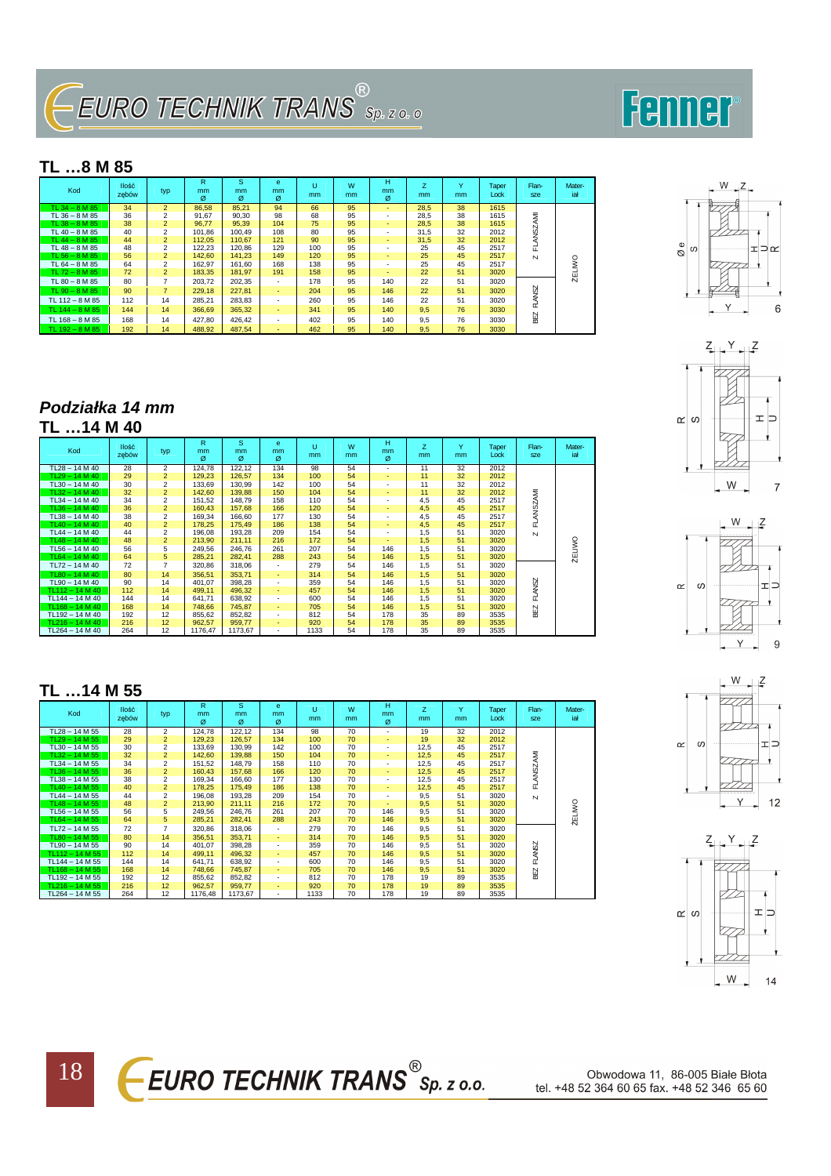## $\overline{\phantom{a}}$ EURO TECHNIK TRANS $^{\tiny{\textcircled{\tiny{\textcirc}}}}$ sp. z o. o

### Fenner

#### **TL …8 M 85**

| Kod                 | <b>Ilość</b><br>zebów | typ            | R<br><sub>mm</sub><br>ø | s<br><sub>mm</sub><br>ø | e<br><sub>mm</sub><br>ø | Ü<br>mm. | W<br>mm | н<br><sub>mm</sub><br>$\sigma$ | z<br><sub>mm</sub> | $\checkmark$<br>mm | Taper<br>Lock | Flan-<br>sze  | Mater-<br>iał |
|---------------------|-----------------------|----------------|-------------------------|-------------------------|-------------------------|----------|---------|--------------------------------|--------------------|--------------------|---------------|---------------|---------------|
| TL $34 - 8$ M $85$  | 34                    | $\overline{2}$ | 86.58                   | 85.21                   | 94                      | 66       | 95      | ۰                              | 28,5               | 38                 | 1615          |               |               |
| TL $36 - 8$ M $85$  | 36                    | $\overline{2}$ | 91.67                   | 90.30                   | 98                      | 68       | 95      | ۰                              | 28.5               | 38                 | 1615          |               |               |
| TL 38 - 8 M 85      | 38                    | $\overline{2}$ | 96.77                   | 95.39                   | 104                     | 75       | 95      |                                | 28.5               | 38                 | 1615          |               |               |
| TL 40 - 8 M 85      | 40                    | $\overline{2}$ | 101.86                  | 100.49                  | 108                     | 80       | 95      | ۰                              | 31.5               | 32                 | 2012          | ANSZAMI       |               |
| TL $44 - 8$ M $85$  | 44                    | $\overline{2}$ | 112,05                  | 110.67                  | 121                     | 90       | 95      | ۰                              | 31,5               | 32                 | 2012          |               |               |
| TL $48 - 8$ M $85$  | 48                    | $\overline{c}$ | 122.23                  | 120.86                  | 129                     | 100      | 95      | ۰                              | 25                 | 45                 | 2517          | 군             |               |
| TL $56 - 8$ M $85$  | 56                    | $\overline{2}$ | 142.60                  | 141.23                  | 149                     | 120      | 95      |                                | 25                 | 45                 | 2517          | $\mathsf{N}$  |               |
| TL $64 - 8$ M $85$  | 64                    | $\overline{c}$ | 162.97                  | 161.60                  | 168                     | 138      | 95      |                                | 25                 | 45                 | 2517          |               | S             |
| TL $72 - 8$ M $85$  | 72                    | $\overline{2}$ | 183.35                  | 181.97                  | 191                     | 158      | 95      |                                | 22                 | 51                 | 3020          |               |               |
| TL $80 - 8$ M $85$  | 80                    |                | 203.72                  | 202.35                  |                         | 178      | 95      | 140                            | 22                 | 51                 | 3020          |               | 풔             |
| TL $90 - 8$ M $85$  | 90                    | $\overline{7}$ | 229.18                  | 227.81                  | $\sim$                  | 204      | 95      | 146                            | 22                 | 51                 | 3020          | <b>FLANSZ</b> |               |
| TL $112 - 8$ M 85   | 112                   | 14             | 285.21                  | 283.83                  | $\sim$                  | 260      | 95      | 146                            | 22                 | 51                 | 3020          |               |               |
| TL $144 - 8$ M 85   | 144                   | 14             | 366.69                  | 365.32                  |                         | 341      | 95      | 140                            | 9.5                | 76                 | 3030          |               |               |
| TL $168 - 8$ M $85$ | 168                   | 14             | 427.80                  | 426.42                  |                         | 402      | 95      | 140                            | 9.5                | 76                 | 3030          | ВEZ           |               |
| TL $192 - 8$ M $85$ | 192                   | 14             | 488.92                  | 487.54                  |                         | 462      | 95      | 140                            | 9,5                | 76                 | 3030          |               |               |

#### **Podziałka 14 mm**

| Kod               | llość<br>zebów | typ            | R.<br>mm<br>ø | s<br>mm.<br>ø | e<br>mm<br>ø             | Ü<br>mm | W<br>mm | н<br>mm<br>ø             | Z<br>mm | $\vee$<br>mm | Taper<br>Lock | Flan-<br>sze  | Mater-<br>iał |
|-------------------|----------------|----------------|---------------|---------------|--------------------------|---------|---------|--------------------------|---------|--------------|---------------|---------------|---------------|
| $TL28 - 14 M 40$  | 28             | $\overline{2}$ | 124,78        | 122,12        | 134                      | 98      | 54      | $\overline{\phantom{a}}$ | 11      | 32           | 2012          |               |               |
| $TL29 - 14 M 40$  | 29             | $\overline{2}$ | 129.23        | 126.57        | 134                      | 100     | 54      | ٠                        | 11      | 32           | 2012          |               |               |
| $TL30 - 14 M40$   | 30             | $\overline{c}$ | 133,69        | 130,99        | 142                      | 100     | 54      | ٠                        | 11      | 32           | 2012          |               |               |
| $TL32 - 14 M 40$  | 32             | $\overline{2}$ | 142,60        | 139,88        | 150                      | 104     | 54      | ٠                        | 11      | 32           | 2012          |               |               |
| $TL34 - 14 M 40$  | 34             | $\overline{c}$ | 151,52        | 148,79        | 158                      | 110     | 54      | ۰.                       | 4,5     | 45           | 2517          | LANSZAMI      |               |
| $TL36 - 14 M 40$  | 36             | $\overline{2}$ | 160,43        | 157,68        | 166                      | 120     | 54      | ٠                        | 4,5     | 45           | 2517          |               |               |
| $TL38 - 14 M 40$  | 38             | $\overline{2}$ | 169,34        | 166,60        | 177                      | 130     | 54      | ۰                        | 4,5     | 45           | 2517          |               |               |
| $TL40 - 14 M40$   | 40             | $\overline{2}$ | 178,25        | 175,49        | 186                      | 138     | 54      | ۰.                       | 4,5     | 45           | 2517          | ш             |               |
| $TL44 - 14 M 40$  | 44             | $\overline{2}$ | 196,08        | 193,28        | 209                      | 154     | 54      | ۰                        | 1,5     | 51           | 3020          | $\mathbf{N}$  |               |
| TL48 - 14 M 40    | 48             | $\overline{2}$ | 213,90        | 211,11        | 216                      | 172     | 54      | ٠                        | 1,5     | 51           | 3020          |               |               |
| $TL56 - 14 M 40$  | 56             | 5              | 249,56        | 246,76        | 261                      | 207     | 54      | 146                      | 1,5     | 51           | 3020          |               |               |
| TL64 - 14 M 40    | 64             | 5              | 285,21        | 282,41        | 288                      | 243     | 54      | 146                      | 1,5     | 51           | 3020          |               | <b>ŻELIWO</b> |
| $TL72 - 14 M 40$  | 72             | $\overline{7}$ | 320,86        | 318,06        | $\blacksquare$           | 279     | 54      | 146                      | 1,5     | 51           | 3020          |               |               |
| $TL80 - 14 M 40$  | 80             | 14             | 356.51        | 353,71        | $\blacksquare$           | 314     | 54      | 146                      | 1,5     | 51           | 3020          |               |               |
| TL90 - 14 M 40    | 90             | 14             | 401,07        | 398,28        | $\blacksquare$           | 359     | 54      | 146                      | 1,5     | 51           | 3020          | <b>FLANSZ</b> |               |
| TL112-14 M40      | 112            | 14             | 499,11        | 496.32        | ٠                        | 457     | 54      | 146                      | 1,5     | 51           | 3020          |               |               |
| TL144 - 14 M 40   | 144            | 14             | 641,71        | 638,92        | $\overline{\phantom{a}}$ | 600     | 54      | 146                      | 1,5     | 51           | 3020          |               |               |
| $TL168 - 14 M 40$ | 168            | 14             | 748.66        | 745,87        | $\blacksquare$           | 705     | 54      | 146                      | 1,5     | 51           | 3020          |               |               |
| TL192-14 M40      | 192            | 12             | 855,62        | 852,82        | $\overline{\phantom{a}}$ | 812     | 54      | 178                      | 35      | 89           | 3535          | ₩.            |               |
| TL216 - 14 M 40   | 216            | 12             | 962,57        | 959,77        | ٠                        | 920     | 54      | 178                      | 35      | 89           | 3535          |               |               |
| TL264 - 14 M 40   | 264            | 12             | 1176,47       | 1173,67       | $\overline{\phantom{a}}$ | 1133    | 54      | 178                      | 35      | 89           | 3535          |               |               |

#### **TL …14 M 55**

18

| Kod               | <b>Ilość</b><br>zebów | typ            | R<br>mm.<br>ø | s<br>mm.<br>ø | e<br>mm<br>ø             | Ü<br>mm | W<br>mm | н<br>mm<br>ø | Z.<br>mm | $\vee$<br>mm | Taper<br>Lock | Flan-<br>sze     | Mater-<br>iał |
|-------------------|-----------------------|----------------|---------------|---------------|--------------------------|---------|---------|--------------|----------|--------------|---------------|------------------|---------------|
| $TL28 - 14 M 55$  | 28                    | $\overline{c}$ | 124,78        | 122,12        | 134                      | 98      | 70      | ۰.           | 19       | 32           | 2012          |                  |               |
| $TL29 - 14 M 55$  | 29                    | $\overline{2}$ | 129.23        | 126.57        | 134                      | 100     | 70      | ۰.           | 19       | 32           | 2012          |                  |               |
| TL30 - 14 M 55    | 30                    | $\overline{2}$ | 133,69        | 130,99        | 142                      | 100     | 70      | ۰.           | 12,5     | 45           | 2517          |                  |               |
| $TL32 - 14 M55$   | 32                    | $\overline{2}$ | 142,60        | 139,88        | 150                      | 104     | 70      | ٠            | 12,5     | 45           | 2517          |                  |               |
| TL34 - 14 M 55    | 34                    | $\overline{2}$ | 151,52        | 148,79        | 158                      | 110     | 70      | ۰.           | 12,5     | 45           | 2517          |                  |               |
| $TL36 - 14 M 55$  | 36                    | $\overline{2}$ | 160,43        | 157,68        | 166                      | 120     | 70      | ۰.           | 12,5     | 45           | 2517          | <b>FLANSZAMI</b> |               |
| TL38 - 14 M 55    | 38                    | $\overline{2}$ | 169.34        | 166.60        | 177                      | 130     | 70      | ۰.           | 12,5     | 45           | 2517          |                  |               |
| $TL40 - 14 M 55$  | 40                    | $\overline{2}$ | 178,25        | 175,49        | 186                      | 138     | 70      | ٠            | 12,5     | 45           | 2517          |                  |               |
| TL44 - 14 M 55    | 44                    | $\overline{2}$ | 196,08        | 193,28        | 209                      | 154     | 70      | ۰.           | 9,5      | 51           | 3020          | $\mathbf N$      |               |
| $TL48 - 14 M 55$  | 48                    | $\overline{2}$ | 213,90        | 211,11        | 216                      | 172     | 70      |              | 9,5      | 51           | 3020          |                  |               |
| TL56 - 14 M 55    | 56                    | 5              | 249,56        | 246,76        | 261                      | 207     | 70      | 146          | 9,5      | 51           | 3020          |                  |               |
| $TL64 - 14 M 55$  | 64                    | 5              | 285,21        | 282,41        | 288                      | 243     | 70      | 146          | 9,5      | 51           | 3020          |                  | <b>ŻELIWO</b> |
| TL72 - 14 M 55    | 72                    | 7              | 320,86        | 318,06        | $\blacksquare$           | 279     | 70      | 146          | 9,5      | 51           | 3020          |                  |               |
| $TL80 - 14 M 55$  | 80                    | 14             | 356.51        | 353,71        | $\blacksquare$           | 314     | 70      | 146          | 9,5      | 51           | 3020          |                  |               |
| TL90 - 14 M 55    | 90                    | 14             | 401.07        | 398,28        | $\overline{\phantom{a}}$ | 359     | 70      | 146          | 9,5      | 51           | 3020          | FLANSZ           |               |
| TL112 - 14 M 55   | 112                   | 14             | 499,11        | 496,32        | $\blacksquare$           | 457     | 70      | 146          | 9,5      | 51           | 3020          |                  |               |
| TL144 - 14 M 55   | 144                   | 14             | 641,71        | 638,92        | $\overline{\phantom{a}}$ | 600     | 70      | 146          | 9,5      | 51           | 3020          |                  |               |
| TL168 $-$ 14 M 55 | 168                   | 14             | 748,66        | 745,87        | ٠                        | 705     | 70      | 146          | 9,5      | 51           | 3020          | ВEZ              |               |
| TL192 - 14 M 55   | 192                   | 12             | 855,62        | 852,82        | $\overline{\phantom{a}}$ | 812     | 70      | 178          | 19       | 89           | 3535          |                  |               |
| $TL216 - 14 M 55$ | 216                   | 12             | 962,57        | 959,77        | $\blacksquare$           | 920     | 70      | 178          | 19       | 89           | 3535          |                  |               |
| TL264 - 14 M 55   | 264                   | 12             | 1176,48       | 1173,67       | $\overline{\phantom{a}}$ | 1133    | 70      | 178          | 19       | 89           | 3535          |                  |               |











Obwodowa 11, 86-005 Białe Błota tel. +48 52 364 60 65 fax. +48 52 346 65 60